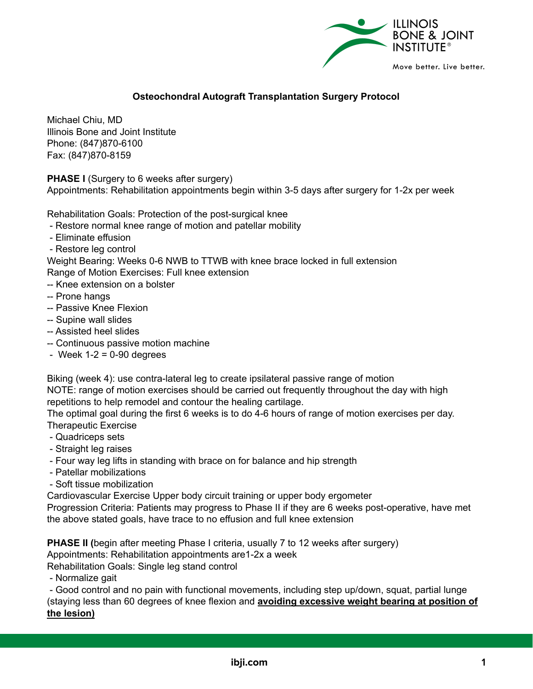

## **Osteochondral Autograft Transplantation Surgery Protocol**

Michael Chiu, MD Illinois Bone and Joint Institute Phone: (847)870-6100 Fax: (847)870-8159

**PHASE I** (Surgery to 6 weeks after surgery)

Appointments: Rehabilitation appointments begin within 3-5 days after surgery for 1-2x per week

Rehabilitation Goals: Protection of the post-surgical knee

- Restore normal knee range of motion and patellar mobility
- Eliminate effusion
- Restore leg control

Weight Bearing: Weeks 0-6 NWB to TTWB with knee brace locked in full extension Range of Motion Exercises: Full knee extension

- -- Knee extension on a bolster
- -- Prone hangs
- -- Passive Knee Flexion
- -- Supine wall slides
- -- Assisted heel slides
- -- Continuous passive motion machine
- Week  $1-2 = 0-90$  degrees

Biking (week 4): use contra-lateral leg to create ipsilateral passive range of motion

NOTE: range of motion exercises should be carried out frequently throughout the day with high repetitions to help remodel and contour the healing cartilage.

The optimal goal during the first 6 weeks is to do 4-6 hours of range of motion exercises per day. Therapeutic Exercise

- Quadriceps sets
- Straight leg raises
- Four way leg lifts in standing with brace on for balance and hip strength
- Patellar mobilizations
- Soft tissue mobilization

Cardiovascular Exercise Upper body circuit training or upper body ergometer

Progression Criteria: Patients may progress to Phase II if they are 6 weeks post-operative, have met the above stated goals, have trace to no effusion and full knee extension

**PHASE II (**begin after meeting Phase I criteria, usually 7 to 12 weeks after surgery) Appointments: Rehabilitation appointments are1-2x a week

Rehabilitation Goals: Single leg stand control

- Normalize gait

- Good control and no pain with functional movements, including step up/down, squat, partial lunge (staying less than 60 degrees of knee flexion and **avoiding excessive weight bearing at position of the lesion)**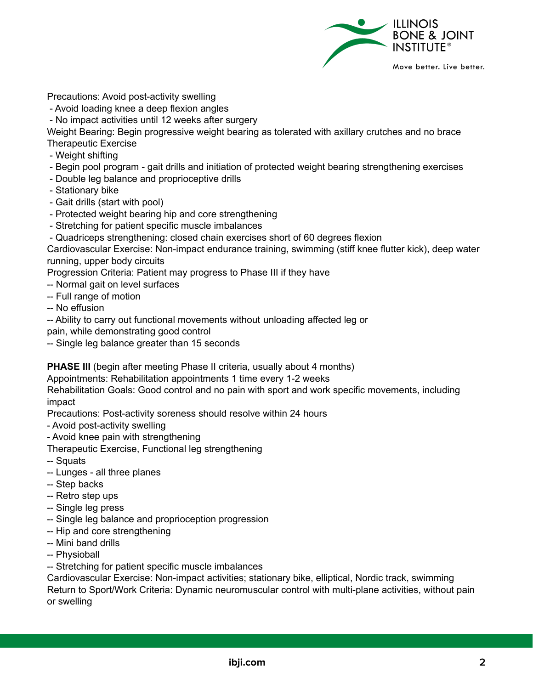

Precautions: Avoid post-activity swelling

- Avoid loading knee a deep flexion angles
- No impact activities until 12 weeks after surgery

Weight Bearing: Begin progressive weight bearing as tolerated with axillary crutches and no brace Therapeutic Exercise

- Weight shifting
- Begin pool program gait drills and initiation of protected weight bearing strengthening exercises
- Double leg balance and proprioceptive drills
- Stationary bike
- Gait drills (start with pool)
- Protected weight bearing hip and core strengthening
- Stretching for patient specific muscle imbalances
- Quadriceps strengthening: closed chain exercises short of 60 degrees flexion

Cardiovascular Exercise: Non-impact endurance training, swimming (stiff knee flutter kick), deep water running, upper body circuits

Progression Criteria: Patient may progress to Phase III if they have

- -- Normal gait on level surfaces
- -- Full range of motion
- -- No effusion
- -- Ability to carry out functional movements without unloading affected leg or
- pain, while demonstrating good control
- -- Single leg balance greater than 15 seconds

**PHASE III** (begin after meeting Phase II criteria, usually about 4 months)

Appointments: Rehabilitation appointments 1 time every 1-2 weeks

Rehabilitation Goals: Good control and no pain with sport and work specific movements, including impact

Precautions: Post-activity soreness should resolve within 24 hours

- Avoid post-activity swelling
- Avoid knee pain with strengthening

Therapeutic Exercise, Functional leg strengthening

- -- Squats
- -- Lunges all three planes
- -- Step backs
- -- Retro step ups
- -- Single leg press
- -- Single leg balance and proprioception progression
- -- Hip and core strengthening
- -- Mini band drills
- -- Physioball

-- Stretching for patient specific muscle imbalances

Cardiovascular Exercise: Non-impact activities; stationary bike, elliptical, Nordic track, swimming Return to Sport/Work Criteria: Dynamic neuromuscular control with multi-plane activities, without pain or swelling